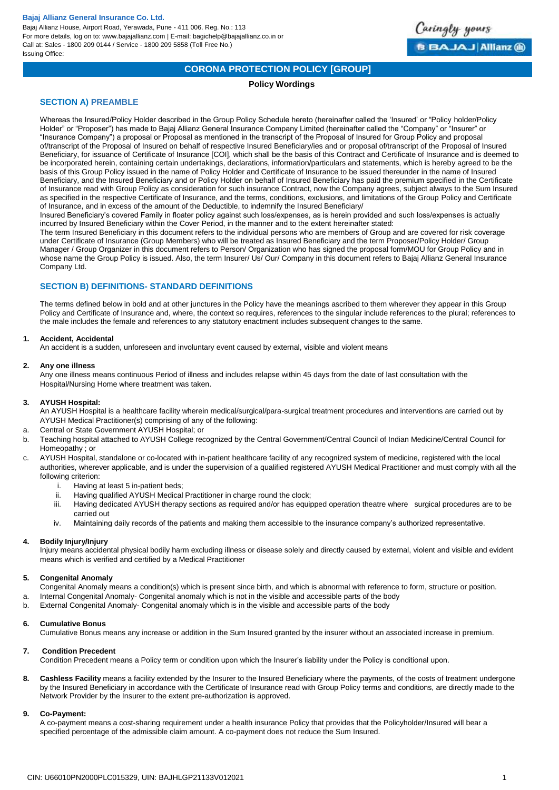Bajaj Allianz House, Airport Road, Yerawada, Pune - 411 006. Reg. No.: 113 For more details, log on to: www.bajajallianz.com | E-mail: bagichelp@bajajallianz.co.in or Call at: Sales - 1800 209 0144 / Service - 1800 209 5858 (Toll Free No.) Issuing Office:



# **CORONA PROTECTION POLICY [GROUP]**

## **Policy Wordings**

## **SECTION A) PREAMBLE**

Whereas the Insured/Policy Holder described in the Group Policy Schedule hereto (hereinafter called the 'Insured' or "Policy holder/Policy Holder" or "Proposer") has made to Bajaj Allianz General Insurance Company Limited (hereinafter called the "Company" or "Insurer" or "Insurance Company") a proposal or Proposal as mentioned in the transcript of the Proposal of Insured for Group Policy and proposal of/transcript of the Proposal of Insured on behalf of respective Insured Beneficiary/ies and or proposal of/transcript of the Proposal of Insured Beneficiary, for issuance of Certificate of Insurance [COI], which shall be the basis of this Contract and Certificate of Insurance and is deemed to be incorporated herein, containing certain undertakings, declarations, information/particulars and statements, which is hereby agreed to be the basis of this Group Policy issued in the name of Policy Holder and Certificate of Insurance to be issued thereunder in the name of Insured Beneficiary, and the Insured Beneficiary and or Policy Holder on behalf of Insured Beneficiary has paid the premium specified in the Certificate of Insurance read with Group Policy as consideration for such insurance Contract, now the Company agrees, subject always to the Sum Insured as specified in the respective Certificate of Insurance, and the terms, conditions, exclusions, and limitations of the Group Policy and Certificate of Insurance, and in excess of the amount of the Deductible, to indemnify the Insured Beneficiary/

Insured Beneficiary's covered Family in floater policy against such loss/expenses, as is herein provided and such loss/expenses is actually incurred by Insured Beneficiary within the Cover Period, in the manner and to the extent hereinafter stated:

The term Insured Beneficiary in this document refers to the individual persons who are members of Group and are covered for risk coverage under Certificate of Insurance (Group Members) who will be treated as Insured Beneficiary and the term Proposer/Policy Holder/ Group Manager / Group Organizer in this document refers to Person/ Organization who has signed the proposal form/MOU for Group Policy and in whose name the Group Policy is issued. Also, the term Insurer/ Us/ Our/ Company in this document refers to Bajaj Allianz General Insurance Company Ltd.

## **SECTION B) DEFINITIONS- STANDARD DEFINITIONS**

The terms defined below in bold and at other junctures in the Policy have the meanings ascribed to them wherever they appear in this Group Policy and Certificate of Insurance and, where, the context so requires, references to the singular include references to the plural; references to the male includes the female and references to any statutory enactment includes subsequent changes to the same.

## **1. Accident, Accidental**

An accident is a sudden, unforeseen and involuntary event caused by external, visible and violent means

#### **2. Any one illness**

Any one illness means continuous Period of illness and includes relapse within 45 days from the date of last consultation with the Hospital/Nursing Home where treatment was taken.

#### **3. AYUSH Hospital:**

An AYUSH Hospital is a healthcare facility wherein medical/surgical/para-surgical treatment procedures and interventions are carried out by AYUSH Medical Practitioner(s) comprising of any of the following:

- a. Central or State Government AYUSH Hospital; or
- b. Teaching hospital attached to AYUSH College recognized by the Central Government/Central Council of Indian Medicine/Central Council for Homeopathy ; or
- c. AYUSH Hospital, standalone or co-located with in-patient healthcare facility of any recognized system of medicine, registered with the local authorities, wherever applicable, and is under the supervision of a qualified registered AYUSH Medical Practitioner and must comply with all the following criterion:
	- i. Having at least 5 in-patient beds;
	- ii. Having qualified AYUSH Medical Practitioner in charge round the clock;
	- iii. Having dedicated AYUSH therapy sections as required and/or has equipped operation theatre where surgical procedures are to be carried out

iv. Maintaining daily records of the patients and making them accessible to the insurance company's authorized representative.

#### **4. Bodily Injury/Injury**

Injury means accidental physical bodily harm excluding illness or disease solely and directly caused by external, violent and visible and evident means which is verified and certified by a Medical Practitioner

#### **5. Congenital Anomaly**

Congenital Anomaly means a condition(s) which is present since birth, and which is abnormal with reference to form, structure or position.

- a. Internal Congenital Anomaly- Congenital anomaly which is not in the visible and accessible parts of the body
- b. External Congenital Anomaly- Congenital anomaly which is in the visible and accessible parts of the body

#### **6. Cumulative Bonus**

Cumulative Bonus means any increase or addition in the Sum Insured granted by the insurer without an associated increase in premium.

#### **7. Condition Precedent**

Condition Precedent means a Policy term or condition upon which the Insurer's liability under the Policy is conditional upon.

**8. Cashless Facility** means a facility extended by the Insurer to the Insured Beneficiary where the payments, of the costs of treatment undergone by the Insured Beneficiary in accordance with the Certificate of Insurance read with Group Policy terms and conditions, are directly made to the Network Provider by the Insurer to the extent pre-authorization is approved.

#### **9. Co-Payment:**

A co-payment means a cost-sharing requirement under a health insurance Policy that provides that the Policyholder/Insured will bear a specified percentage of the admissible claim amount. A co-payment does not reduce the Sum Insured.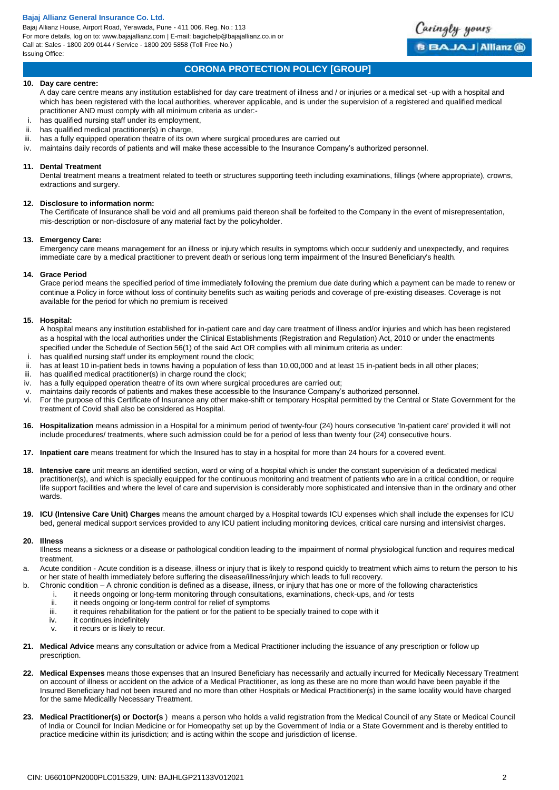Bajaj Allianz House, Airport Road, Yerawada, Pune - 411 006. Reg. No.: 113 For more details, log on to: www.bajajallianz.com | E-mail: bagichelp@bajajallianz.co.in or Call at: Sales - 1800 209 0144 / Service - 1800 209 5858 (Toll Free No.) Issuing Office:



## **CORONA PROTECTION POLICY [GROUP]**

#### **10. Day care centre:**

A day care centre means any institution established for day care treatment of illness and / or injuries or a medical set -up with a hospital and which has been registered with the local authorities, wherever applicable, and is under the supervision of a registered and qualified medical practitioner AND must comply with all minimum criteria as under:-

- i. has qualified nursing staff under its employment,
- ii. has qualified medical practitioner(s) in charge,
- iii. has a fully equipped operation theatre of its own where surgical procedures are carried out
- iv. maintains daily records of patients and will make these accessible to the Insurance Company's authorized personnel.

#### **11. Dental Treatment**

Dental treatment means a treatment related to teeth or structures supporting teeth including examinations, fillings (where appropriate), crowns, extractions and surgery.

#### **12. Disclosure to information norm:**

The Certificate of Insurance shall be void and all premiums paid thereon shall be forfeited to the Company in the event of misrepresentation, mis-description or non-disclosure of any material fact by the policyholder.

#### **13. Emergency Care:**

Emergency care means management for an illness or injury which results in symptoms which occur suddenly and unexpectedly, and requires immediate care by a medical practitioner to prevent death or serious long term impairment of the Insured Beneficiary's health.

#### **14. Grace Period**

Grace period means the specified period of time immediately following the premium due date during which a payment can be made to renew or continue a Policy in force without loss of continuity benefits such as waiting periods and coverage of pre-existing diseases. Coverage is not available for the period for which no premium is received

#### **15. Hospital:**

A hospital means any institution established for in-patient care and day care treatment of illness and/or injuries and which has been registered as a hospital with the local authorities under the Clinical Establishments (Registration and Regulation) Act, 2010 or under the enactments specified under the Schedule of Section 56(1) of the said Act OR complies with all minimum criteria as under:

- has qualified nursing staff under its employment round the clock;
- ii. has at least 10 in-patient beds in towns having a population of less than 10,00,000 and at least 15 in-patient beds in all other places;<br>iii. has qualified medical practitioner(s) in charge round the clock;
- has qualified medical practitioner(s) in charge round the clock;
- iv. has a fully equipped operation theatre of its own where surgical procedures are carried out;
- v. maintains daily records of patients and makes these accessible to the Insurance Company's authorized personnel.
- vi. For the purpose of this Certificate of Insurance any other make-shift or temporary Hospital permitted by the Central or State Government for the treatment of Covid shall also be considered as Hospital.
- **16. Hospitalization** means admission in a Hospital for a minimum period of twenty-four (24) hours consecutive 'In-patient care' provided it will not include procedures/ treatments, where such admission could be for a period of less than twenty four (24) consecutive hours.
- **17. Inpatient care** means treatment for which the Insured has to stay in a hospital for more than 24 hours for a covered event.
- **18. Intensive care** unit means an identified section, ward or wing of a hospital which is under the constant supervision of a dedicated medical practitioner(s), and which is specially equipped for the continuous monitoring and treatment of patients who are in a critical condition, or require life support facilities and where the level of care and supervision is considerably more sophisticated and intensive than in the ordinary and other wards.
- **19. ICU (Intensive Care Unit) Charges** means the amount charged by a Hospital towards ICU expenses which shall include the expenses for ICU bed, general medical support services provided to any ICU patient including monitoring devices, critical care nursing and intensivist charges.

#### **20. Illness**

Illness means a sickness or a disease or pathological condition leading to the impairment of normal physiological function and requires medical treatment.

- a. Acute condition Acute condition is a disease, illness or injury that is likely to respond quickly to treatment which aims to return the person to his or her state of health immediately before suffering the disease/illness/injury which leads to full recovery.
- b. Chronic condition A chronic condition is defined as a disease, illness, or injury that has one or more of the following characteristics
	- i. it needs ongoing or long-term monitoring through consultations, examinations, check-ups, and /or tests
	- ii. it needs ongoing or long-term control for relief of symptoms<br>iii. it requires rehabilitation for the patient or for the patient to b
	- it requires rehabilitation for the patient or for the patient to be specially trained to cope with it
	- iv. it continues indefinitely
	- v. it recurs or is likely to recur.
- **21. Medical Advice** means any consultation or advice from a Medical Practitioner including the issuance of any prescription or follow up prescription.
- **22. Medical Expenses** means those expenses that an Insured Beneficiary has necessarily and actually incurred for Medically Necessary Treatment on account of illness or accident on the advice of a Medical Practitioner, as long as these are no more than would have been payable if the Insured Beneficiary had not been insured and no more than other Hospitals or Medical Practitioner(s) in the same locality would have charged for the same Medicallly Necessary Treatment.
- **23. Medical Practitioner(s) or Doctor(s** ) means a person who holds a valid registration from the Medical Council of any State or Medical Council of India or Council for Indian Medicine or for Homeopathy set up by the Government of India or a State Government and is thereby entitled to practice medicine within its jurisdiction; and is acting within the scope and jurisdiction of license.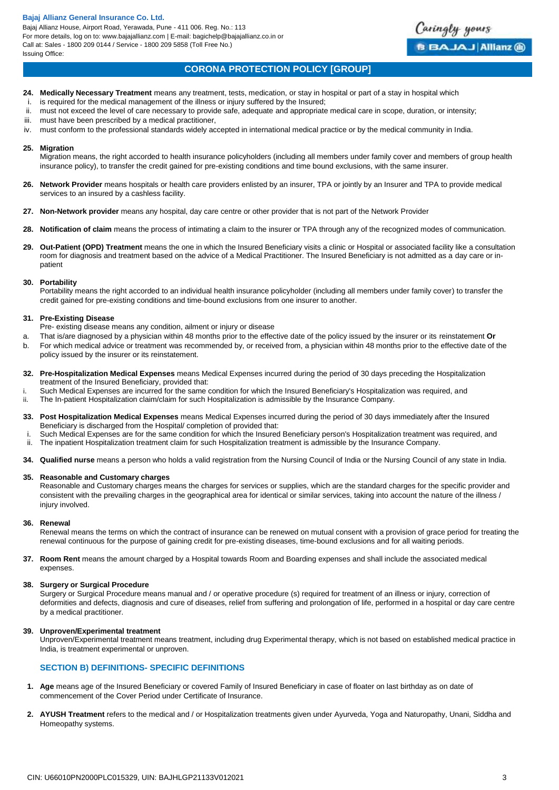Bajaj Allianz House, Airport Road, Yerawada, Pune - 411 006. Reg. No.: 113 For more details, log on to: www.bajajallianz.com | E-mail: bagichelp@bajajallianz.co.in or Call at: Sales - 1800 209 0144 / Service - 1800 209 5858 (Toll Free No.) Issuing Office:

# **CORONA PROTECTION POLICY [GROUP]**

Caringly yours

**BBAJAJ Allianz @** 

- **24. Medically Necessary Treatment** means any treatment, tests, medication, or stay in hospital or part of a stay in hospital which
- i. is required for the medical management of the illness or injury suffered by the Insured;
- ii. must not exceed the level of care necessary to provide safe, adequate and appropriate medical care in scope, duration, or intensity;
- iii. must have been prescribed by a medical practitioner,
- iv. must conform to the professional standards widely accepted in international medical practice or by the medical community in India.

#### **25. Migration**

Migration means, the right accorded to health insurance policyholders (including all members under family cover and members of group health insurance policy), to transfer the credit gained for pre-existing conditions and time bound exclusions, with the same insurer.

- **26. Network Provider** means hospitals or health care providers enlisted by an insurer, TPA or jointly by an Insurer and TPA to provide medical services to an insured by a cashless facility.
- **27. Non-Network provider** means any hospital, day care centre or other provider that is not part of the Network Provider
- **28. Notification of claim** means the process of intimating a claim to the insurer or TPA through any of the recognized modes of communication.
- **29. Out-Patient (OPD) Treatment** means the one in which the Insured Beneficiary visits a clinic or Hospital or associated facility like a consultation room for diagnosis and treatment based on the advice of a Medical Practitioner. The Insured Beneficiary is not admitted as a day care or inpatient

### **30. Portability**

Portability means the right accorded to an individual health insurance policyholder (including all members under family cover) to transfer the credit gained for pre-existing conditions and time-bound exclusions from one insurer to another.

#### **31. Pre-Existing Disease**

- Pre- existing disease means any condition, ailment or injury or disease
- a. That is/are diagnosed by a physician within 48 months prior to the effective date of the policy issued by the insurer or its reinstatement **Or**
- b. For which medical advice or treatment was recommended by, or received from, a physician within 48 months prior to the effective date of the policy issued by the insurer or its reinstatement.
- **32. Pre-Hospitalization Medical Expenses** means Medical Expenses incurred during the period of 30 days preceding the Hospitalization treatment of the Insured Beneficiary, provided that:
- i. Such Medical Expenses are incurred for the same condition for which the Insured Beneficiary's Hospitalization was required, and ii. The In-patient Hospitalization claim/claim for such Hospitalization is admissible by the Insurance Company.
- **33. Post Hospitalization Medical Expenses** means Medical Expenses incurred during the period of 30 days immediately after the Insured Beneficiary is discharged from the Hospital/ completion of provided that:
- Such Medical Expenses are for the same condition for which the Insured Beneficiary person's Hospitalization treatment was required, and
- ii. The inpatient Hospitalization treatment claim for such Hospitalization treatment is admissible by the Insurance Company.
- **34. Qualified nurse** means a person who holds a valid registration from the Nursing Council of India or the Nursing Council of any state in India.

### **35. Reasonable and Customary charges**

Reasonable and Customary charges means the charges for services or supplies, which are the standard charges for the specific provider and consistent with the prevailing charges in the geographical area for identical or similar services, taking into account the nature of the illness / injury involved.

#### **36. Renewal**

Renewal means the terms on which the contract of insurance can be renewed on mutual consent with a provision of grace period for treating the renewal continuous for the purpose of gaining credit for pre-existing diseases, time-bound exclusions and for all waiting periods.

**37. Room Rent** means the amount charged by a Hospital towards Room and Boarding expenses and shall include the associated medical expenses.

#### **38. Surgery or Surgical Procedure**

Surgery or Surgical Procedure means manual and / or operative procedure (s) required for treatment of an illness or injury, correction of deformities and defects, diagnosis and cure of diseases, relief from suffering and prolongation of life, performed in a hospital or day care centre by a medical practitioner.

#### **39. Unproven/Experimental treatment**

Unproven/Experimental treatment means treatment, including drug Experimental therapy, which is not based on established medical practice in India, is treatment experimental or unproven.

## **SECTION B) DEFINITIONS- SPECIFIC DEFINITIONS**

- **1. Age** means age of the Insured Beneficiary or covered Family of Insured Beneficiary in case of floater on last birthday as on date of commencement of the Cover Period under Certificate of Insurance.
- **2. AYUSH Treatment** refers to the medical and / or Hospitalization treatments given under Ayurveda, Yoga and Naturopathy, Unani, Siddha and Homeopathy systems.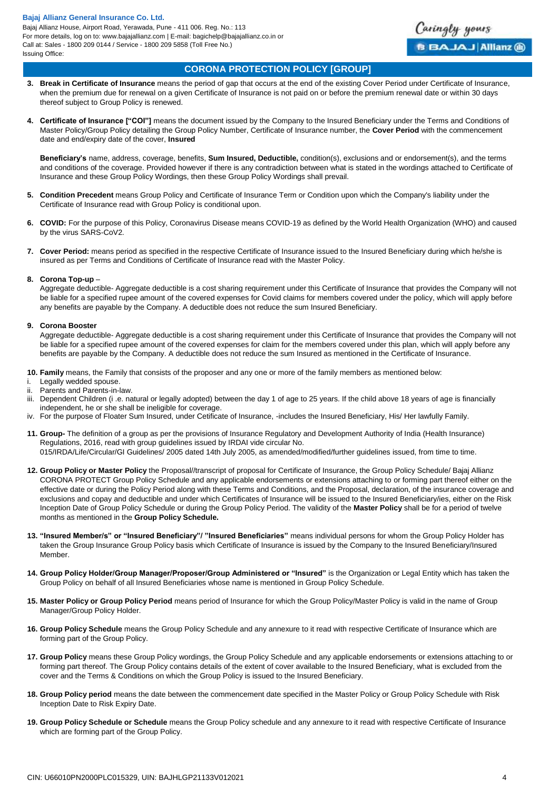Bajaj Allianz House, Airport Road, Yerawada, Pune - 411 006. Reg. No.: 113 For more details, log on to: www.bajajallianz.com | E-mail: bagichelp@bajajallianz.co.in or Call at: Sales - 1800 209 0144 / Service - 1800 209 5858 (Toll Free No.) Issuing Office:



## **CORONA PROTECTION POLICY [GROUP]**

- **3. Break in Certificate of Insurance** means the period of gap that occurs at the end of the existing Cover Period under Certificate of Insurance, when the premium due for renewal on a given Certificate of Insurance is not paid on or before the premium renewal date or within 30 days thereof subject to Group Policy is renewed.
- **4. Certificate of Insurance ["COI"]** means the document issued by the Company to the Insured Beneficiary under the Terms and Conditions of Master Policy/Group Policy detailing the Group Policy Number, Certificate of Insurance number, the **Cover Period** with the commencement date and end/expiry date of the cover, **Insured**

**Beneficiary's** name, address, coverage, benefits, **Sum Insured, Deductible,** condition(s), exclusions and or endorsement(s), and the terms and conditions of the coverage. Provided however if there is any contradiction between what is stated in the wordings attached to Certificate of Insurance and these Group Policy Wordings, then these Group Policy Wordings shall prevail.

- **5. Condition Precedent** means Group Policy and Certificate of Insurance Term or Condition upon which the Company's liability under the Certificate of Insurance read with Group Policy is conditional upon.
- **6. COVID:** For the purpose of this Policy, Coronavirus Disease means COVID-19 as defined by the World Health Organization (WHO) and caused by the virus SARS-CoV2.
- **7. Cover Period:** means period as specified in the respective Certificate of Insurance issued to the Insured Beneficiary during which he/she is insured as per Terms and Conditions of Certificate of Insurance read with the Master Policy.

#### **8. Corona Top-up** –

Aggregate deductible- Aggregate deductible is a cost sharing requirement under this Certificate of Insurance that provides the Company will not be liable for a specified rupee amount of the covered expenses for Covid claims for members covered under the policy, which will apply before any benefits are payable by the Company. A deductible does not reduce the sum Insured Beneficiary.

## **9. Corona Booster**

Aggregate deductible- Aggregate deductible is a cost sharing requirement under this Certificate of Insurance that provides the Company will not be liable for a specified rupee amount of the covered expenses for claim for the members covered under this plan, which will apply before any benefits are payable by the Company. A deductible does not reduce the sum Insured as mentioned in the Certificate of Insurance.

**10. Family** means, the Family that consists of the proposer and any one or more of the family members as mentioned below:

- i. Legally wedded spouse.
- ii. Parents and Parents-in-law.
- iii. Dependent Children (i .e. natural or legally adopted) between the day 1 of age to 25 years. If the child above 18 years of age is financially independent, he or she shall be ineligible for coverage.
- iv. For the purpose of Floater Sum Insured, under Cetificate of Insurance, -includes the Insured Beneficiary, His/ Her lawfully Family.
- **11. Group-** The definition of a group as per the provisions of Insurance Regulatory and Development Authority of India (Health Insurance) Regulations, 2016, read with group guidelines issued by IRDAI vide circular No. 015/IRDA/Life/Circular/GI Guidelines/ 2005 dated 14th July 2005, as amended/modified/further guidelines issued, from time to time.
- **12. Group Policy or Master Policy** the Proposal//transcript of proposal for Certificate of Insurance, the Group Policy Schedule/ Bajaj Allianz CORONA PROTECT Group Policy Schedule and any applicable endorsements or extensions attaching to or forming part thereof either on the effective date or during the Policy Period along with these Terms and Conditions, and the Proposal, declaration, of the insurance coverage and exclusions and copay and deductible and under which Certificates of Insurance will be issued to the Insured Beneficiary/ies, either on the Risk Inception Date of Group Policy Schedule or during the Group Policy Period. The validity of the **Master Policy** shall be for a period of twelve months as mentioned in the **Group Policy Schedule.**
- **13. "Insured Member/s" or "Insured Beneficiary"/ "Insured Beneficiaries"** means individual persons for whom the Group Policy Holder has taken the Group Insurance Group Policy basis which Certificate of Insurance is issued by the Company to the Insured Beneficiary/Insured Member.
- **14. Group Policy Holder/Group Manager/Proposer/Group Administered or "Insured"** is the Organization or Legal Entity which has taken the Group Policy on behalf of all Insured Beneficiaries whose name is mentioned in Group Policy Schedule.
- **15. Master Policy or Group Policy Period** means period of Insurance for which the Group Policy/Master Policy is valid in the name of Group Manager/Group Policy Holder.
- **16. Group Policy Schedule** means the Group Policy Schedule and any annexure to it read with respective Certificate of Insurance which are forming part of the Group Policy.
- **17. Group Policy** means these Group Policy wordings, the Group Policy Schedule and any applicable endorsements or extensions attaching to or forming part thereof. The Group Policy contains details of the extent of cover available to the Insured Beneficiary, what is excluded from the cover and the Terms & Conditions on which the Group Policy is issued to the Insured Beneficiary.
- **18. Group Policy period** means the date between the commencement date specified in the Master Policy or Group Policy Schedule with Risk Inception Date to Risk Expiry Date.
- **19. Group Policy Schedule or Schedule** means the Group Policy schedule and any annexure to it read with respective Certificate of Insurance which are forming part of the Group Policy.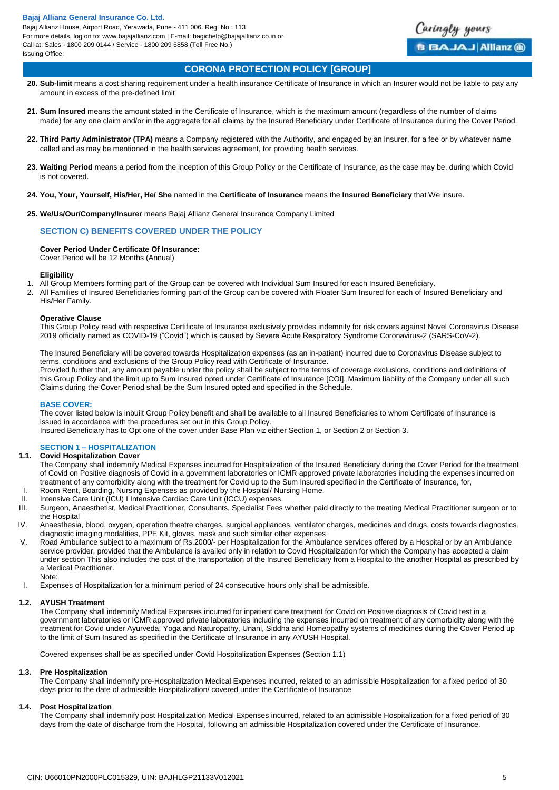Bajaj Allianz House, Airport Road, Yerawada, Pune - 411 006. Reg. No.: 113 For more details, log on to: www.bajajallianz.com | E-mail: bagichelp@bajajallianz.co.in or Call at: Sales - 1800 209 0144 / Service - 1800 209 5858 (Toll Free No.) Issuing Office:



## **CORONA PROTECTION POLICY [GROUP]**

- **20. Sub-limit** means a cost sharing requirement under a health insurance Certificate of Insurance in which an Insurer would not be liable to pay any amount in excess of the pre-defined limit
- **21. Sum Insured** means the amount stated in the Certificate of Insurance, which is the maximum amount (regardless of the number of claims made) for any one claim and/or in the aggregate for all claims by the Insured Beneficiary under Certificate of Insurance during the Cover Period.
- **22. Third Party Administrator (TPA)** means a Company registered with the Authority, and engaged by an Insurer, for a fee or by whatever name called and as may be mentioned in the health services agreement, for providing health services.
- **23. Waiting Period** means a period from the inception of this Group Policy or the Certificate of Insurance, as the case may be, during which Covid is not covered.
- **24. You, Your, Yourself, His/Her, He/ She** named in the **Certificate of Insurance** means the **Insured Beneficiary** that We insure.
- **25. We/Us/Our/Company/Insurer** means Bajaj Allianz General Insurance Company Limited

## **SECTION C) BENEFITS COVERED UNDER THE POLICY**

#### **Cover Period Under Certificate Of Insurance:**

Cover Period will be 12 Months (Annual)

#### **Eligibility**

- 1. All Group Members forming part of the Group can be covered with Individual Sum Insured for each Insured Beneficiary.<br>2. All Families of Insured Beneficiaries forming part of the Group can be covered with Floater Sum Ins
- 2. All Families of Insured Beneficiaries forming part of the Group can be covered with Floater Sum Insured for each of Insured Beneficiary and His/Her Family.

#### **Operative Clause**

This Group Policy read with respective Certificate of Insurance exclusively provides indemnity for risk covers against Novel Coronavirus Disease 2019 officially named as COVID-19 ("Covid") which is caused by Severe Acute Respiratory Syndrome Coronavirus-2 (SARS-CoV-2).

The Insured Beneficiary will be covered towards Hospitalization expenses (as an in-patient) incurred due to Coronavirus Disease subject to terms, conditions and exclusions of the Group Policy read with Certificate of Insurance. Provided further that, any amount payable under the policy shall be subject to the terms of coverage exclusions, conditions and definitions of this Group Policy and the limit up to Sum Insured opted under Certificate of Insurance [COI]. Maximum liability of the Company under all such Claims during the Cover Period shall be the Sum Insured opted and specified in the Schedule.

#### **BASE COVER:**

The cover listed below is inbuilt Group Policy benefit and shall be available to all Insured Beneficiaries to whom Certificate of Insurance is issued in accordance with the procedures set out in this Group Policy.

Insured Beneficiary has to Opt one of the cover under Base Plan viz either Section 1, or Section 2 or Section 3.

## **SECTION 1 – HOSPITALIZATION**

## **1.1. Covid Hospitalization Cover**

- The Company shall indemnify Medical Expenses incurred for Hospitalization of the Insured Beneficiary during the Cover Period for the treatment of Covid on Positive diagnosis of Covid in a government laboratories or ICMR approved private laboratories including the expenses incurred on treatment of any comorbidity along with the treatment for Covid up to the Sum Insured specified in the Certificate of Insurance, for, Room Rent, Boarding, Nursing Expenses as provided by the Hospital/ Nursing Home.
- II. Intensive Care Unit (ICU) I Intensive Cardiac Care Unit (lCCU) expenses.
- III. Surgeon, Anaesthetist, Medical Practitioner, Consultants, Specialist Fees whether paid directly to the treating Medical Practitioner surgeon or to the Hospital
- IV. Anaesthesia, blood, oxygen, operation theatre charges, surgical appliances, ventilator charges, medicines and drugs, costs towards diagnostics, diagnostic imaging modalities, PPE Kit, gloves, mask and such similar other expenses
- V. Road Ambulance subject to a maximum of Rs.2000/- per Hospitalization for the Ambulance services offered by a Hospital or by an Ambulance service provider, provided that the Ambulance is availed only in relation to Covid Hospitalization for which the Company has accepted a claim under section This also includes the cost of the transportation of the Insured Beneficiary from a Hospital to the another Hospital as prescribed by a Medical Practitioner. Note:
- I. Expenses of Hospitalization for a minimum period of 24 consecutive hours only shall be admissible.

#### **1.2. AYUSH Treatment**

The Company shall indemnify Medical Expenses incurred for inpatient care treatment for Covid on Positive diagnosis of Covid test in a government laboratories or ICMR approved private laboratories including the expenses incurred on treatment of any comorbidity along with the treatment for Covid under Ayurveda, Yoga and Naturopathy, Unani, Siddha and Homeopathy systems of medicines during the Cover Period up to the limit of Sum Insured as specified in the Certificate of Insurance in any AYUSH Hospital.

Covered expenses shall be as specified under Covid Hospitalization Expenses (Section 1.1)

#### **1.3. Pre Hospitalization**

The Company shall indemnify pre-Hospitalization Medical Expenses incurred, related to an admissible Hospitalization for a fixed period of 30 days prior to the date of admissible Hospitalization/ covered under the Certificate of Insurance

#### **1.4. Post Hospitalization**

The Company shall indemnify post Hospitalization Medical Expenses incurred, related to an admissible Hospitalization for a fixed period of 30 days from the date of discharge from the Hospital, following an admissible Hospitalization covered under the Certificate of Insurance.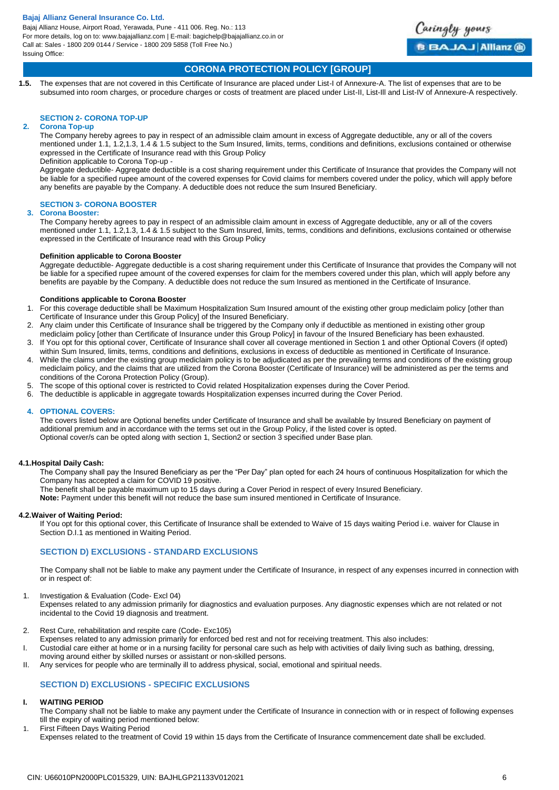Bajaj Allianz House, Airport Road, Yerawada, Pune - 411 006. Reg. No.: 113 For more details, log on to: www.bajajallianz.com | E-mail: bagichelp@bajajallianz.co.in or Call at: Sales - 1800 209 0144 / Service - 1800 209 5858 (Toll Free No.) Issuing Office:



## **CORONA PROTECTION POLICY [GROUP]**

**1.5.** The expenses that are not covered in this Certificate of Insurance are placed under List-I of Annexure-A. The list of expenses that are to be subsumed into room charges, or procedure charges or costs of treatment are placed under List-II, List-Ill and List-IV of Annexure-A respectively.

## **SECTION 2- CORONA TOP-UP**

#### **2. Corona Top-up**

The Company hereby agrees to pay in respect of an admissible claim amount in excess of Aggregate deductible, any or all of the covers mentioned under 1.1, 1.2,1.3, 1.4 & 1.5 subject to the Sum Insured, limits, terms, conditions and definitions, exclusions contained or otherwise expressed in the Certificate of Insurance read with this Group Policy

#### Definition applicable to Corona Top-up -

Aggregate deductible- Aggregate deductible is a cost sharing requirement under this Certificate of Insurance that provides the Company will not be liable for a specified rupee amount of the covered expenses for Covid claims for members covered under the policy, which will apply before any benefits are payable by the Company. A deductible does not reduce the sum Insured Beneficiary.

#### **SECTION 3- CORONA BOOSTER**

#### **3. Corona Booster:**

The Company hereby agrees to pay in respect of an admissible claim amount in excess of Aggregate deductible, any or all of the covers mentioned under 1.1, 1.2,1.3, 1.4 & 1.5 subject to the Sum Insured, limits, terms, conditions and definitions, exclusions contained or otherwise expressed in the Certificate of Insurance read with this Group Policy

## **Definition applicable to Corona Booster**

Aggregate deductible- Aggregate deductible is a cost sharing requirement under this Certificate of Insurance that provides the Company will not be liable for a specified rupee amount of the covered expenses for claim for the members covered under this plan, which will apply before any benefits are payable by the Company. A deductible does not reduce the sum Insured as mentioned in the Certificate of Insurance.

#### **Conditions applicable to Corona Booster**

- 1. For this coverage deductible shall be Maximum Hospitalization Sum Insured amount of the existing other group mediclaim policy [other than Certificate of Insurance under this Group Policy] of the Insured Beneficiary.
- 2. Any claim under this Certificate of Insurance shall be triggered by the Company only if deductible as mentioned in existing other group mediclaim policy [other than Certificate of Insurance under this Group Policy] in favour of the Insured Beneficiary has been exhausted.
- 3. If You opt for this optional cover, Certificate of Insurance shall cover all coverage mentioned in Section 1 and other Optional Covers (if opted) within Sum Insured, limits, terms, conditions and definitions, exclusions in excess of deductible as mentioned in Certificate of Insurance.
- 4. While the claims under the existing group mediclaim policy is to be adjudicated as per the prevailing terms and conditions of the existing group mediclaim policy, and the claims that are utilized from the Corona Booster (Certificate of Insurance) will be administered as per the terms and conditions of the Corona Protection Policy (Group).
- 5. The scope of this optional cover is restricted to Covid related Hospitalization expenses during the Cover Period.
- 6. The deductible is applicable in aggregate towards Hospitalization expenses incurred during the Cover Period.

#### **4. OPTIONAL COVERS:**

The covers listed below are Optional benefits under Certificate of Insurance and shall be available by Insured Beneficiary on payment of additional premium and in accordance with the terms set out in the Group Policy, if the listed cover is opted. Optional cover/s can be opted along with section 1, Section2 or section 3 specified under Base plan.

#### **4.1.Hospital Daily Cash:**

The Company shall pay the Insured Beneficiary as per the "Per Day" plan opted for each 24 hours of continuous Hospitalization for which the Company has accepted a claim for COVID 19 positive.

The benefit shall be payable maximum up to 15 days during a Cover Period in respect of every Insured Beneficiary.

**Note:** Payment under this benefit will not reduce the base sum insured mentioned in Certificate of Insurance.

#### **4.2.Waiver of Waiting Period:**

If You opt for this optional cover, this Certificate of Insurance shall be extended to Waive of 15 days waiting Period i.e. waiver for Clause in Section D.I.1 as mentioned in Waiting Period.

## **SECTION D) EXCLUSIONS - STANDARD EXCLUSIONS**

The Company shall not be liable to make any payment under the Certificate of Insurance, in respect of any expenses incurred in connection with or in respect of:

1. Investigation & Evaluation (Code- Excl 04)

Expenses related to any admission primarily for diagnostics and evaluation purposes. Any diagnostic expenses which are not related or not incidental to the Covid 19 diagnosis and treatment.

- 2. Rest Cure, rehabilitation and respite care (Code- Exc105)
- Expenses related to any admission primarily for enforced bed rest and not for receiving treatment. This also includes:
- I. Custodial care either at home or in a nursing facility for personal care such as help with activities of daily living such as bathing, dressing,
- moving around either by skilled nurses or assistant or non-skilled persons.
- II. Any services for people who are terminally ill to address physical, social, emotional and spiritual needs.

# **SECTION D) EXCLUSIONS - SPECIFIC EXCLUSIONS**

# **I. WAITING PERIOD**

The Company shall not be liable to make any payment under the Certificate of Insurance in connection with or in respect of following expenses till the expiry of waiting period mentioned below:

1. First Fifteen Days Waiting Period Expenses related to the treatment of Covid 19 within 15 days from the Certificate of Insurance commencement date shall be excluded.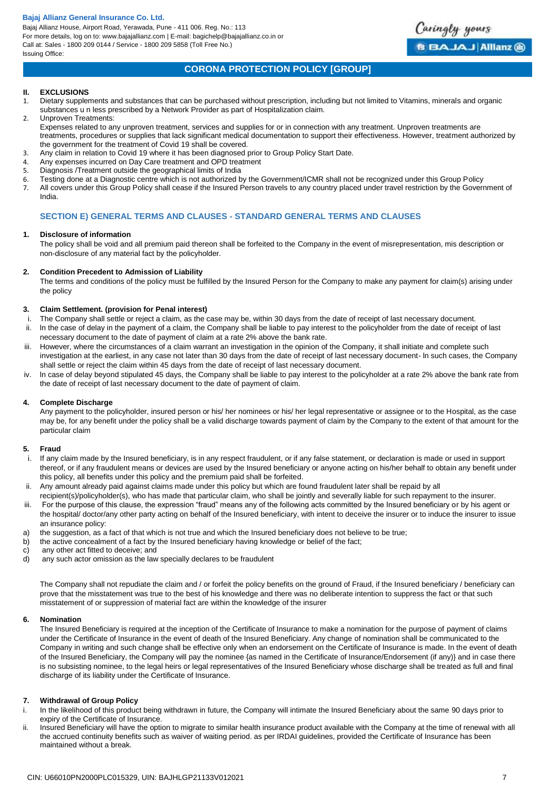Bajaj Allianz House, Airport Road, Yerawada, Pune - 411 006. Reg. No.: 113 For more details, log on to: www.bajajallianz.com | E-mail: bagichelp@bajajallianz.co.in or Call at: Sales - 1800 209 0144 / Service - 1800 209 5858 (Toll Free No.) Issuing Office:



# **CORONA PROTECTION POLICY [GROUP]**

### **II. EXCLUSIONS**

- 1. Dietary supplements and substances that can be purchased without prescription, including but not limited to Vitamins, minerals and organic substances u n less prescribed by a Network Provider as part of Hospitalization claim.
- 2. Unproven Treatments: Expenses related to any unproven treatment, services and supplies for or in connection with any treatment. Unproven treatments are treatments, procedures or supplies that lack significant medical documentation to support their effectiveness. However, treatment authorized by the government for the treatment of Covid 19 shall be covered.
- 3. Any claim in relation to Covid 19 where it has been diagnosed prior to Group Policy Start Date.
- 4. Any expenses incurred on Day Care treatment and OPD treatment
- 5. Diagnosis /Treatment outside the geographical limits of India
- 6. Testing done at a Diagnostic centre which is not authorized by the Government/ICMR shall not be recognized under this Group Policy 7. All covers under this Group Policy shall cease if the Insured Person travels to any country placed under travel restriction by the Government of India.

## **SECTION E) GENERAL TERMS AND CLAUSES - STANDARD GENERAL TERMS AND CLAUSES**

## **1. Disclosure of information**

The policy shall be void and all premium paid thereon shall be forfeited to the Company in the event of misrepresentation, mis description or non-disclosure of any material fact by the policyholder.

## **2. Condition Precedent to Admission of Liability**

The terms and conditions of the policy must be fulfilled by the Insured Person for the Company to make any payment for claim(s) arising under the policy

## **3. Claim Settlement. (provision for Penal interest)**

- i. The Company shall settle or reject a claim, as the case may be, within 30 days from the date of receipt of last necessary document. ii. ln the case of delay in the payment of a claim, the Company shall be liable to pay interest to the policyholder from the date of receipt of last
- necessary document to the date of payment of claim at a rate 2% above the bank rate. iii. However, where the circumstances of a claim warrant an investigation in the opinion of the Company, it shall initiate and complete such investigation at the earliest, in any case not later than 30 days from the date of receipt of last necessary document- ln such cases, the Company
- shall settle or reject the claim within 45 days from the date of receipt of last necessary document.
- iv. ln case of delay beyond stipulated 45 days, the Company shall be liable to pay interest to the policyholder at a rate 2% above the bank rate from the date of receipt of last necessary document to the date of payment of claim.

## **4. Complete Discharge**

Any payment to the policyholder, insured person or his/ her nominees or his/ her legal representative or assignee or to the Hospital, as the case may be, for any benefit under the policy shall be a valid discharge towards payment of claim by the Company to the extent of that amount for the particular claim

#### **5. Fraud**

- i. If any claim made by the Insured beneficiary, is in any respect fraudulent, or if any false statement, or declaration is made or used in support thereof, or if any fraudulent means or devices are used by the Insured beneficiary or anyone acting on his/her behalf to obtain any benefit under this policy, all benefits under this policy and the premium paid shall be forfeited.
- ii. Any amount already paid against claims made under this policy but which are found fraudulent later shall be repaid by all
- recipient(s)/policyholder(s), who has made that particular claim, who shall be jointly and severally liable for such repayment to the insurer.
- iii. For the purpose of this clause, the expression "fraud" means any of the following acts committed by the Insured beneficiary or by his agent or the hospital/ doctor/any other party acting on behalf of the Insured beneficiary, with intent to deceive the insurer or to induce the insurer to issue an insurance policy:
- a) the suggestion, as a fact of that which is not true and which the Insured beneficiary does not believe to be true;
- b) the active concealment of a fact by the Insured beneficiary having knowledge or belief of the fact;
- c) any other act fitted to deceive; and<br>d) any such actor omission as the law
- any such actor omission as the law specially declares to be fraudulent

The Company shall not repudiate the claim and / or forfeit the policy benefits on the ground of Fraud, if the Insured beneficiary / beneficiary can prove that the misstatement was true to the best of his knowledge and there was no deliberate intention to suppress the fact or that such misstatement of or suppression of material fact are within the knowledge of the insurer

#### **6. Nomination**

The Insured Beneficiary is required at the inception of the Certificate of Insurance to make a nomination for the purpose of payment of claims under the Certificate of Insurance in the event of death of the Insured Beneficiary. Any change of nomination shall be communicated to the Company in writing and such change shall be effective only when an endorsement on the Certificate of Insurance is made. In the event of death of the Insured Beneficiary, the Company will pay the nominee {as named in the Certificate of Insurance/Endorsement (if any)} and in case there is no subsisting nominee, to the legal heirs or legal representatives of the Insured Beneficiary whose discharge shall be treated as full and final discharge of its liability under the Certificate of Insurance.

## **7. Withdrawal of Group Policy**

- i. In the likelihood of this product being withdrawn in future, the Company will intimate the Insured Beneficiary about the same 90 days prior to expiry of the Certificate of Insurance.
- ii. Insured Beneficiary will have the option to migrate to similar health insurance product available with the Company at the time of renewal with all the accrued continuity benefits such as waiver of waiting period. as per IRDAI guidelines, provided the Certificate of Insurance has been maintained without a break.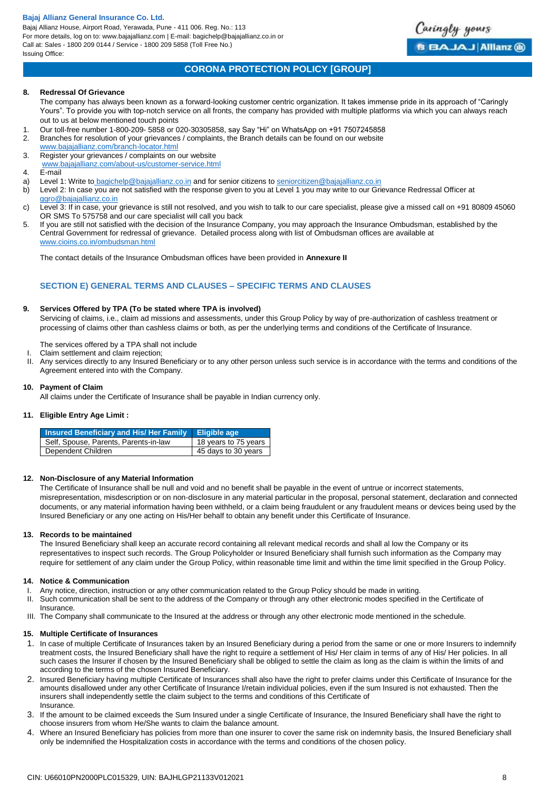Bajaj Allianz House, Airport Road, Yerawada, Pune - 411 006. Reg. No.: 113 For more details, log on to: www.bajajallianz.com | E-mail: bagichelp@bajajallianz.co.in or Call at: Sales - 1800 209 0144 / Service - 1800 209 5858 (Toll Free No.) Issuing Office:



# **CORONA PROTECTION POLICY [GROUP]**

## **8. Redressal Of Grievance**

The company has always been known as a forward-looking customer centric organization. It takes immense pride in its approach of "Caringly Yours". To provide you with top-notch service on all fronts, the company has provided with multiple platforms via which you can always reach out to us at below mentioned touch points

- 1. Our toll-free number 1-800-209- 5858 or 020-30305858, say Say "Hi" on WhatsApp on +91 7507245858
- 2. Branches for resolution of your grievances / complaints, the Branch details can be found on our website
- [www.bajajallianz.com/branch-locator.html](http://www.bajajallianz.com/branch-locator.html) 3. Register your grievances / complaints on our website
- 
- [www.bajajallianz.com/about-us/customer-service.html](http://www.bajajallianz.com/about-us/customer-service.html)
- 4. E-mail
- a) Level 1: Write to [bagichelp@bajajallianz.co.in](mailto:bagichelp@bajajallianz.co.in) and for senior citizens to [seniorcitizen@bajajallianz.co.in](mailto:seniorcitizen@bajajallianz.co.in)
- b) Level 2: In case you are not satisfied with the response given to you at Level 1 you may write to our Grievance Redressal Officer at [ggro@bajajallianz.co.in](mailto:ggro@bajajallianz.co.in)
- c) Level 3: If in case, your grievance is still not resolved, and you wish to talk to our care specialist, please give a missed call on +91 80809 45060 OR SMS To 575758 and our care specialist will call you back
- 5. If you are still not satisfied with the decision of the Insurance Company, you may approach the Insurance Ombudsman, established by the Central Government for redressal of grievance. Detailed process along with list of Ombudsman offices are available at [www.cioins.co.in/ombudsman.html](http://www.cioins.co.in/ombudsman.html)

The contact details of the Insurance Ombudsman offices have been provided in **Annexure II**

## **SECTION E) GENERAL TERMS AND CLAUSES – SPECIFIC TERMS AND CLAUSES**

#### **9. Services Offered by TPA (To be stated where TPA is involved)**

Servicing of claims, i.e., claim ad missions and assessments, under this Group Policy by way of pre-authorization of cashless treatment or processing of claims other than cashless claims or both, as per the underlying terms and conditions of the Certificate of Insurance.

The services offered by a TPA shall not include

- I. Claim settlement and claim rejection;
- II. Any services directly to any Insured Beneficiary or to any other person unless such service is in accordance with the terms and conditions of the Agreement entered into with the Company.

#### **10. Payment of Claim**

All claims under the Certificate of Insurance shall be payable in Indian currency only.

#### **11. Eligible Entry Age Limit :**

| Insured Beneficiary and His/ Her Family Eligible age |                      |
|------------------------------------------------------|----------------------|
| Self, Spouse, Parents, Parents-in-law                | 18 years to 75 years |
| Dependent Children                                   | 45 days to 30 years  |

#### **12. Non-Disclosure of any Material Information**

The Certificate of Insurance shall be null and void and no benefit shall be payable in the event of untrue or incorrect statements, misrepresentation, misdescription or on non-disclosure in any material particular in the proposal, personal statement, declaration and connected documents, or any material information having been withheld, or a claim being fraudulent or any fraudulent means or devices being used by the Insured Beneficiary or any one acting on His/Her behalf to obtain any benefit under this Certificate of Insurance.

#### **13. Records to be maintained**

The Insured Beneficiary shall keep an accurate record containing all relevant medical records and shall al low the Company or its representatives to inspect such records. The Group Policyholder or Insured Beneficiary shall furnish such information as the Company may require for settlement of any claim under the Group Policy, within reasonable time limit and within the time limit specified in the Group Policy.

#### **14. Notice & Communication**

- I. Any notice, direction, instruction or any other communication related to the Group Policy should be made in writing.
- II. Such communication shall be sent to the address of the Company or through any other electronic modes specified in the Certificate of
- Insurance. III. The Company shall communicate to the Insured at the address or through any other electronic mode mentioned in the schedule.

## **15. Multiple Certificate of Insurances**

- 1. In case of multiple Certificate of Insurances taken by an Insured Beneficiary during a period from the same or one or more Insurers to indemnify treatment costs, the Insured Beneficiary shall have the right to require a settlement of His/ Her claim in terms of any of His/ Her policies. In all such cases the Insurer if chosen by the Insured Beneficiary shall be obliged to settle the claim as long as the claim is within the limits of and according to the terms of the chosen Insured Beneficiary.
- 2. Insured Beneficiary having multiple Certificate of Insurances shall also have the right to prefer claims under this Certificate of Insurance for the amounts disallowed under any other Certificate of Insurance I/retain individual policies, even if the sum Insured is not exhausted. Then the insurers shall independently settle the claim subject to the terms and conditions of this Certificate of **Insurance**
- 3. If the amount to be claimed exceeds the Sum Insured under a single Certificate of Insurance, the Insured Beneficiary shall have the right to choose insurers from whom He/She wants to claim the balance amount.
- 4. Where an Insured Beneficiary has policies from more than one insurer to cover the same risk on indemnity basis, the Insured Beneficiary shall only be indemnified the Hospitalization costs in accordance with the terms and conditions of the chosen policy.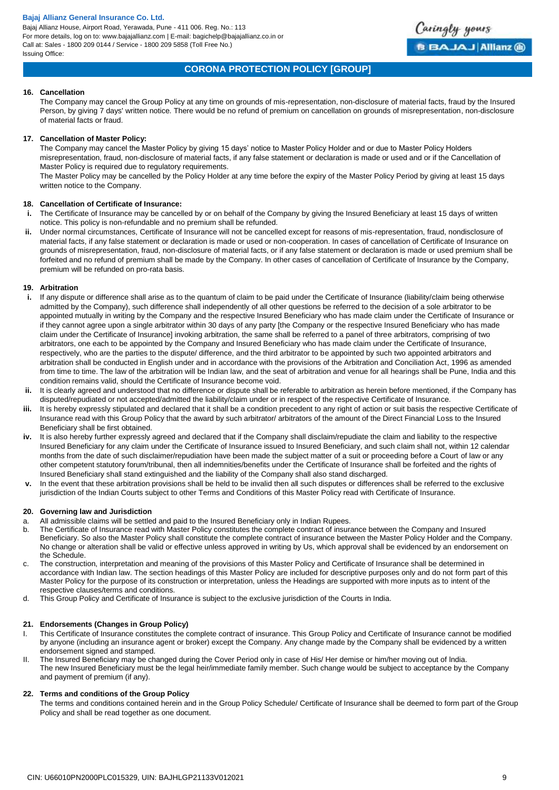Bajaj Allianz House, Airport Road, Yerawada, Pune - 411 006. Reg. No.: 113 For more details, log on to: www.bajajallianz.com | E-mail: bagichelp@bajajallianz.co.in or Call at: Sales - 1800 209 0144 / Service - 1800 209 5858 (Toll Free No.) Issuing Office:



## **CORONA PROTECTION POLICY [GROUP]**

#### **16. Cancellation**

The Company may cancel the Group Policy at any time on grounds of mis-representation, non-disclosure of material facts, fraud by the Insured Person, by giving 7 days' written notice. There would be no refund of premium on cancellation on grounds of misrepresentation, non-disclosure of material facts or fraud.

### **17. Cancellation of Master Policy:**

The Company may cancel the Master Policy by giving 15 days' notice to Master Policy Holder and or due to Master Policy Holders misrepresentation, fraud, non-disclosure of material facts, if any false statement or declaration is made or used and or if the Cancellation of Master Policy is required due to regulatory requirements.

The Master Policy may be cancelled by the Policy Holder at any time before the expiry of the Master Policy Period by giving at least 15 days written notice to the Company.

## **18. Cancellation of Certificate of Insurance:**

- **i.** The Certificate of Insurance may be cancelled by or on behalf of the Company by giving the Insured Beneficiary at least 15 days of written notice. This policy is non-refundable and no premium shall be refunded.
- **ii.** Under normal circumstances, Certificate of Insurance will not be cancelled except for reasons of mis-representation, fraud, nondisclosure of material facts, if any false statement or declaration is made or used or non-cooperation. In cases of cancellation of Certificate of Insurance on grounds of misrepresentation, fraud, non-disclosure of material facts, or if any false statement or declaration is made or used premium shall be forfeited and no refund of premium shall be made by the Company. In other cases of cancellation of Certificate of Insurance by the Company, premium will be refunded on pro-rata basis.

## **19. Arbitration**

- **i.** If any dispute or difference shall arise as to the quantum of claim to be paid under the Certificate of Insurance (liability/claim being otherwise admitted by the Company), such difference shall independently of all other questions be referred to the decision of a sole arbitrator to be appointed mutually in writing by the Company and the respective Insured Beneficiary who has made claim under the Certificate of Insurance or if they cannot agree upon a single arbitrator within 30 days of any party [the Company or the respective Insured Beneficiary who has made claim under the Certificate of Insurance] invoking arbitration, the same shall be referred to a panel of three arbitrators, comprising of two arbitrators, one each to be appointed by the Company and Insured Beneficiary who has made claim under the Certificate of Insurance, respectively, who are the parties to the dispute/ difference, and the third arbitrator to be appointed by such two appointed arbitrators and arbitration shall be conducted in English under and in accordance with the provisions of the Arbitration and Conciliation Act, 1996 as amended from time to time. The law of the arbitration will be Indian law, and the seat of arbitration and venue for all hearings shall be Pune, India and this condition remains valid, should the Certificate of Insurance become void.
- **ii.** It is clearly agreed and understood that no difference or dispute shall be referable to arbitration as herein before mentioned, if the Company has disputed/repudiated or not accepted/admitted the liability/claim under or in respect of the respective Certificate of Insurance.
- **iii.** It is hereby expressly stipulated and declared that it shall be a condition precedent to any right of action or suit basis the respective Certificate of Insurance read with this Group Policy that the award by such arbitrator/ arbitrators of the amount of the Direct Financial Loss to the Insured Beneficiary shall be first obtained.
- **iv.** It is also hereby further expressly agreed and declared that if the Company shall disclaim/repudiate the claim and liability to the respective Insured Beneficiary for any claim under the Certificate of Insurance issued to Insured Beneficiary, and such claim shall not, within 12 calendar months from the date of such disclaimer/repudiation have been made the subject matter of a suit or proceeding before a Court of law or any other competent statutory forum/tribunal, then all indemnities/benefits under the Certificate of Insurance shall be forfeited and the rights of Insured Beneficiary shall stand extinguished and the liability of the Company shall also stand discharged.
- **v.** In the event that these arbitration provisions shall be held to be invalid then all such disputes or differences shall be referred to the exclusive jurisdiction of the Indian Courts subject to other Terms and Conditions of this Master Policy read with Certificate of Insurance.

#### **20. Governing law and Jurisdiction**

- a. All admissible claims will be settled and paid to the Insured Beneficiary only in Indian Rupees.
- b. The Certificate of Insurance read with Master Policy constitutes the complete contract of insurance between the Company and Insured Beneficiary. So also the Master Policy shall constitute the complete contract of insurance between the Master Policy Holder and the Company. No change or alteration shall be valid or effective unless approved in writing by Us, which approval shall be evidenced by an endorsement on the Schedule.
- c. The construction, interpretation and meaning of the provisions of this Master Policy and Certificate of Insurance shall be determined in accordance with Indian law. The section headings of this Master Policy are included for descriptive purposes only and do not form part of this Master Policy for the purpose of its construction or interpretation, unless the Headings are supported with more inputs as to intent of the respective clauses/terms and conditions.
- d. This Group Policy and Certificate of Insurance is subject to the exclusive jurisdiction of the Courts in India.

#### **21. Endorsements (Changes in Group Policy)**

- I. This Certificate of Insurance constitutes the complete contract of insurance. This Group Policy and Certificate of Insurance cannot be modified by anyone (including an insurance agent or broker) except the Company. Any change made by the Company shall be evidenced by a written endorsement signed and stamped.
- II. The Insured Beneficiary may be changed during the Cover Period only in case of His/ Her demise or him/her moving out of lndia. The new Insured Beneficiary must be the legal heir/immediate family member. Such change would be subject to acceptance by the Company and payment of premium (if any).

#### **22. Terms and conditions of the Group Policy**

The terms and conditions contained herein and in the Group Policy Schedule/ Certificate of Insurance shall be deemed to form part of the Group Policy and shall be read together as one document.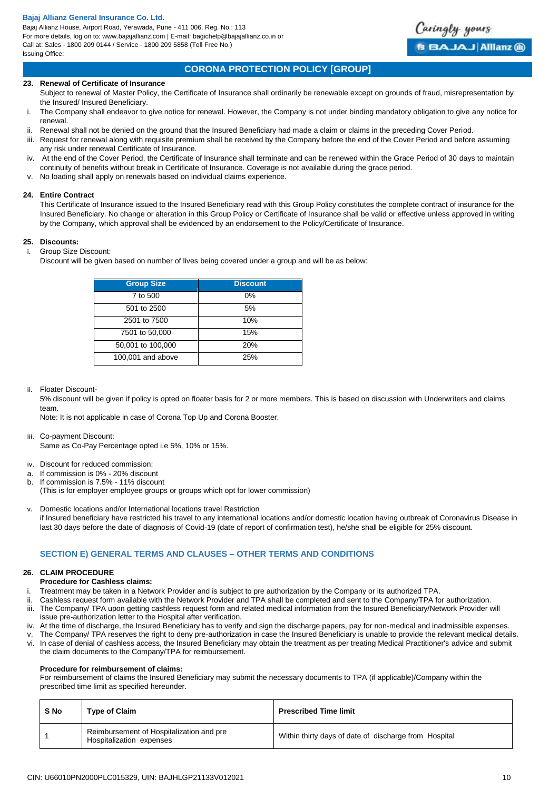Bajaj Allianz House, Airport Road, Yerawada, Pune - 411 006. Reg. No.: 113 For more details, log on to: www.bajajallianz.com | E-mail: bagichelp@bajajallianz.co.in or Call at: Sales - 1800 209 0144 / Service - 1800 209 5858 (Toll Free No.) Issuing Office:

# **CORONA PROTECTION POLICY [GROUP]**

Caringly yours

**B BAJAJ Allianz @** 

#### **23. Renewal of Certificate of Insurance**

- Subject to renewal of Master Policy, the Certificate of Insurance shall ordinarily be renewable except on grounds of fraud, misrepresentation by the Insured/ Insured Beneficiary.
- i. The Company shall endeavor to give notice for renewal. However, the Company is not under binding mandatory obligation to give any notice for renewal.
- ii. Renewal shall not be denied on the ground that the Insured Beneficiary had made a claim or claims in the preceding Cover Period.
- iii. Request for renewal along with requisite premium shall be received by the Company before the end of the Cover Period and before assuming any risk under renewal Certificate of Insurance.
- iv. At the end of the Cover Period, the Certificate of Insurance shall terminate and can be renewed within the Grace Period of 30 days to maintain continuity of benefits without break in Certificate of Insurance. Coverage is not available during the grace period.
- v. No loading shall apply on renewals based on individual claims experience.

#### **24. Entire Contract**

This Certificate of Insurance issued to the Insured Beneficiary read with this Group Policy constitutes the complete contract of insurance for the Insured Beneficiary. No change or alteration in this Group Policy or Certificate of Insurance shall be valid or effective unless approved in writing by the Company, which approval shall be evidenced by an endorsement to the Policy/Certificate of Insurance.

## **25. Discounts:**

- i. Group Size Discount:
	- Discount will be given based on number of lives being covered under a group and will be as below:

| <b>Group Size</b> | <b>Discount</b> |
|-------------------|-----------------|
| 7 to 500          | $0\%$           |
| 501 to 2500       | 5%              |
| 2501 to 7500      | 10%             |
| 7501 to 50,000    | 15%             |
| 50,001 to 100,000 | 20%             |
| 100,001 and above | 25%             |

ii. Floater Discount-

5% discount will be given if policy is opted on floater basis for 2 or more members. This is based on discussion with Underwriters and claims team.

Note: It is not applicable in case of Corona Top Up and Corona Booster.

iii. Co-payment Discount:

Same as Co-Pay Percentage opted i.e 5%, 10% or 15%.

- iv. Discount for reduced commission:
- a. If commission is 0% 20% discount
- b. If commission is 7.5% 11% discount
	- (This is for employer employee groups or groups which opt for lower commission)
- v. Domestic locations and/or International locations travel Restriction if Insured beneficiary have restricted his travel to any international locations and/or domestic location having outbreak of Coronavirus Disease in last 30 days before the date of diagnosis of Covid-19 (date of report of confirmation test), he/she shall be eligible for 25% discount.

## **SECTION E) GENERAL TERMS AND CLAUSES – OTHER TERMS AND CONDITIONS**

### **26. CLAIM PROCEDURE**

**Procedure for Cashless claims:**

- i. Treatment may be taken in a Network Provider and is subject to pre authorization by the Company or its authorized TPA.
- Cashless request form available with the Network Provider and TPA shall be completed and sent to the Company/TPA for authorization.
- iii. The Company/ TPA upon getting cashless request form and related medical information from the Insured Beneficiary/Network Provider will issue pre-authorization letter to the Hospital after verification.
- iv. At the time of discharge, the Insured Beneficiary has to verify and sign the discharge papers, pay for non-medical and inadmissible expenses.
- v. The Company/ TPA reserves the right to deny pre-authorization in case the Insured Beneficiary is unable to provide the relevant medical details. vi. In case of denial of cashless access, the Insured Beneficiary may obtain the treatment as per treating Medical Practitioner's advice and submit
- the claim documents to the Company/TPA for reimbursement.

#### **Procedure for reimbursement of claims:**

For reimbursement of claims the Insured Beneficiary may submit the necessary documents to TPA (if applicable)/Company within the prescribed time limit as specified hereunder.

| S <sub>No</sub> | <b>Type of Claim</b>                                                 | <b>Prescribed Time limit</b>                          |
|-----------------|----------------------------------------------------------------------|-------------------------------------------------------|
|                 | Reimbursement of Hospitalization and pre<br>Hospitalization expenses | Within thirty days of date of discharge from Hospital |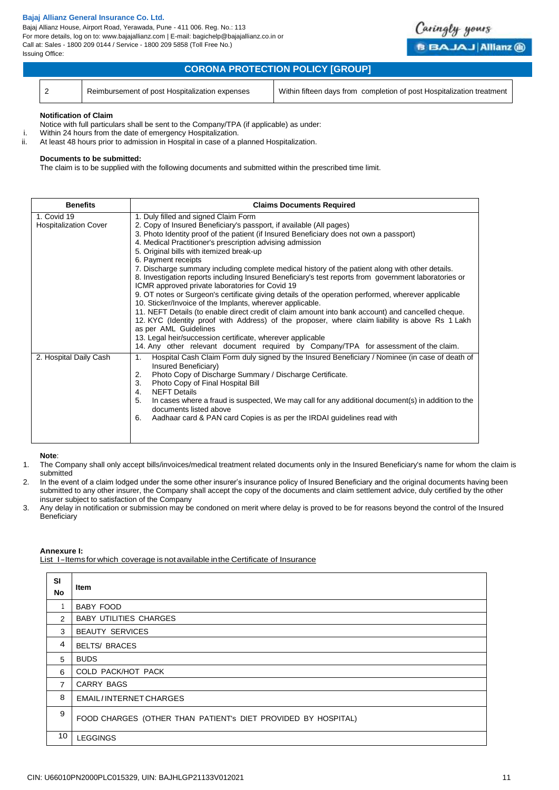Bajaj Allianz House, Airport Road, Yerawada, Pune - 411 006. Reg. No.: 113 For more details, log on to: www.bajajallianz.com | E-mail: bagichelp@bajajallianz.co.in or Call at: Sales - 1800 209 0144 / Service - 1800 209 5858 (Toll Free No.) Issuing Office:

| <b>CORONA PROTECTION POLICY [GROUP]</b> |                                                |                                                                       |  |
|-----------------------------------------|------------------------------------------------|-----------------------------------------------------------------------|--|
|                                         | Reimbursement of post Hospitalization expenses | Within fifteen days from completion of post Hospitalization treatment |  |

Caringly yours

**BBAJAJ Allianz @** 

#### **Notification of Claim**

Notice with full particulars shall be sent to the Company/TPA (if applicable) as under:

- i. Within 24 hours from the date of emergency Hospitalization.<br>ii. At least 48 hours prior to admission in Hospital in case of a r
	- At least 48 hours prior to admission in Hospital in case of a planned Hospitalization.

#### **Documents to be submitted:**

The claim is to be supplied with the following documents and submitted within the prescribed time limit.

| <b>Benefits</b>                             | <b>Claims Documents Required</b>                                                                                                                                                                                                                                                                                                                                                                                                                                                                                                                                                                                                                                                                                                                                                                                                                                                                                                                                                                                                                                                                                                                                   |
|---------------------------------------------|--------------------------------------------------------------------------------------------------------------------------------------------------------------------------------------------------------------------------------------------------------------------------------------------------------------------------------------------------------------------------------------------------------------------------------------------------------------------------------------------------------------------------------------------------------------------------------------------------------------------------------------------------------------------------------------------------------------------------------------------------------------------------------------------------------------------------------------------------------------------------------------------------------------------------------------------------------------------------------------------------------------------------------------------------------------------------------------------------------------------------------------------------------------------|
| 1. Covid 19<br><b>Hospitalization Cover</b> | 1. Duly filled and signed Claim Form<br>2. Copy of Insured Beneficiary's passport, if available (All pages)<br>3. Photo Identity proof of the patient (if Insured Beneficiary does not own a passport)<br>4. Medical Practitioner's prescription advising admission<br>5. Original bills with itemized break-up<br>6. Payment receipts<br>7. Discharge summary including complete medical history of the patient along with other details.<br>8. Investigation reports including Insured Beneficiary's test reports from government laboratories or<br>ICMR approved private laboratories for Covid 19<br>9. OT notes or Surgeon's certificate giving details of the operation performed, wherever applicable<br>10. Sticker/Invoice of the Implants, wherever applicable.<br>11. NEFT Details (to enable direct credit of claim amount into bank account) and cancelled cheque.<br>12. KYC (Identity proof with Address) of the proposer, where claim liability is above Rs 1 Lakh<br>as per AML Guidelines<br>13. Legal heir/succession certificate, wherever applicable<br>14. Any other relevant document required by Company/TPA for assessment of the claim. |
| 2. Hospital Daily Cash                      | Hospital Cash Claim Form duly signed by the Insured Beneficiary / Nominee (in case of death of<br>1.<br>Insured Beneficiary)<br>Photo Copy of Discharge Summary / Discharge Certificate.<br>2.<br>Photo Copy of Final Hospital Bill<br>3.<br><b>NEFT Details</b><br>4.<br>In cases where a fraud is suspected, We may call for any additional document(s) in addition to the<br>5.<br>documents listed above<br>Aadhaar card & PAN card Copies is as per the IRDAI guidelines read with<br>6.                                                                                                                                                                                                                                                                                                                                                                                                                                                                                                                                                                                                                                                                      |

#### **Note**:

- 1. The Company shall only accept bills/invoices/medical treatment related documents only in the Insured Beneficiary's name for whom the claim is submitted
- 2. In the event of a claim lodged under the some other insurer's insurance policy of Insured Beneficiary and the original documents having been submitted to any other insurer, the Company shall accept the copy of the documents and claim settlement advice, duly certified by the other insurer subject to satisfaction of the Company
- 3. Any delay in notification or submission may be condoned on merit where delay is proved to be for reasons beyond the control of the Insured **Beneficiary**

#### **Annexure I:**

List I-Items for which coverage is not available in the Certificate of Insurance

| <b>SI</b><br>No | Item                                                          |
|-----------------|---------------------------------------------------------------|
|                 | <b>BABY FOOD</b>                                              |
| $\mathcal{P}$   | <b>BABY UTILITIES CHARGES</b>                                 |
| 3               | <b>BEAUTY SERVICES</b>                                        |
| $\overline{a}$  | <b>BELTS/ BRACES</b>                                          |
| 5               | <b>BUDS</b>                                                   |
| 6               | COLD PACK/HOT PACK                                            |
| $\overline{7}$  | <b>CARRY BAGS</b>                                             |
| 8               | EMAIL/INTERNET CHARGES                                        |
| 9               | FOOD CHARGES (OTHER THAN PATIENT's DIET PROVIDED BY HOSPITAL) |
| 10              | <b>LEGGINGS</b>                                               |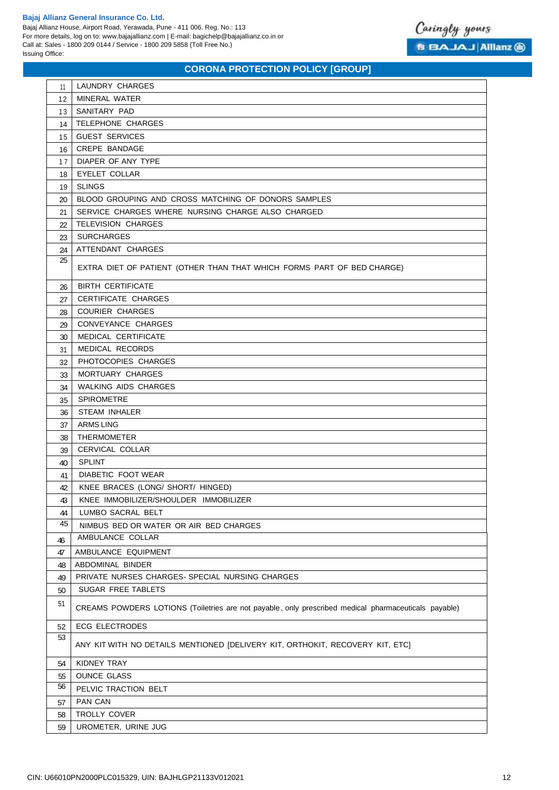Bajaj Allianz House, Airport Road, Yerawada, Pune - 411 006. Reg. No.: 113 For more details, log on to: www.bajajallianz.com | E-mail: bagichelp@bajajallianz.co.in or Call at: Sales - 1800 209 0144 / Service - 1800 209 5858 (Toll Free No.) Issuing Office:



| 11       | LAUNDRY CHARGES                                                                                      |
|----------|------------------------------------------------------------------------------------------------------|
| 12       | <b>MINERAL WATER</b>                                                                                 |
| 13       | SANITARY PAD                                                                                         |
| 14       | TELEPHONE CHARGES                                                                                    |
| 15       | <b>GUEST SERVICES</b>                                                                                |
| 16       | CREPE BANDAGE                                                                                        |
| 17       | DIAPER OF ANY TYPE                                                                                   |
| 18       | <b>EYELET COLLAR</b>                                                                                 |
| 19       | <b>SLINGS</b>                                                                                        |
| 20       | BLOOD GROUPING AND CROSS MATCHING OF DONORS SAMPLES                                                  |
| 21       | SERVICE CHARGES WHERE NURSING CHARGE ALSO CHARGED                                                    |
| 22       | <b>TELEVISION CHARGES</b>                                                                            |
| 23       | <b>SURCHARGES</b>                                                                                    |
| 24       | ATTENDANT CHARGES                                                                                    |
| 25       |                                                                                                      |
|          | EXTRA DIET OF PATIENT (OTHER THAN THAT WHICH FORMS PART OF BED CHARGE)                               |
| 26       | <b>BIRTH CERTIFICATE</b>                                                                             |
| 27       | <b>CERTIFICATE CHARGES</b>                                                                           |
| 28       | <b>COURIER CHARGES</b>                                                                               |
| 29       | CONVEYANCE CHARGES                                                                                   |
| 30       | MEDICAL CERTIFICATE                                                                                  |
| 31       | MEDICAL RECORDS                                                                                      |
| 32       | PHOTOCOPIES CHARGES                                                                                  |
| 33       | MORTUARY CHARGES                                                                                     |
| 34       | <b>WALKING AIDS CHARGES</b>                                                                          |
| 35       | <b>SPIROMETRE</b>                                                                                    |
| 36       | <b>STEAM INHALER</b>                                                                                 |
| 37       | <b>ARMS LING</b>                                                                                     |
| 38       | <b>THERMOMETER</b>                                                                                   |
| 39       | CERVICAL COLLAR                                                                                      |
| 40       | <b>SPLINT</b>                                                                                        |
| 41       | DIABETIC FOOT WEAR                                                                                   |
| 42       | KNEE BRACES (LONG/ SHORT/ HINGED)                                                                    |
| 43       | KNEE IMMOBILIZER/SHOULDER IMMOBILIZER                                                                |
| 44       | LUMBO SACRAL BELT                                                                                    |
| 45       | NIMBUS BED OR WATER OR AIR BED CHARGES                                                               |
|          | AMBULANCE COLLAR                                                                                     |
| 46<br>47 | AMBULANCE EQUIPMENT                                                                                  |
|          | ABDOMINAL BINDER                                                                                     |
| 48       | PRIVATE NURSES CHARGES- SPECIAL NURSING CHARGES                                                      |
| 49<br>50 | SUGAR FREE TABLETS                                                                                   |
| 51       |                                                                                                      |
|          | CREAMS POWDERS LOTIONS (Toiletries are not payable, only prescribed medical pharmaceuticals payable) |
| 52       | <b>ECG ELECTRODES</b>                                                                                |
| 53       | ANY KIT WITH NO DETAILS MENTIONED [DELIVERY KIT, ORTHOKIT, RECOVERY KIT, ETC]                        |
| 54       | <b>KIDNEY TRAY</b>                                                                                   |
| 55       | <b>OUNCE GLASS</b>                                                                                   |
| 56       | PELVIC TRACTION BELT                                                                                 |
| 57       | PAN CAN                                                                                              |
| 58       | TROLLY COVER                                                                                         |
| 59       | UROMETER, URINE JUG                                                                                  |
|          |                                                                                                      |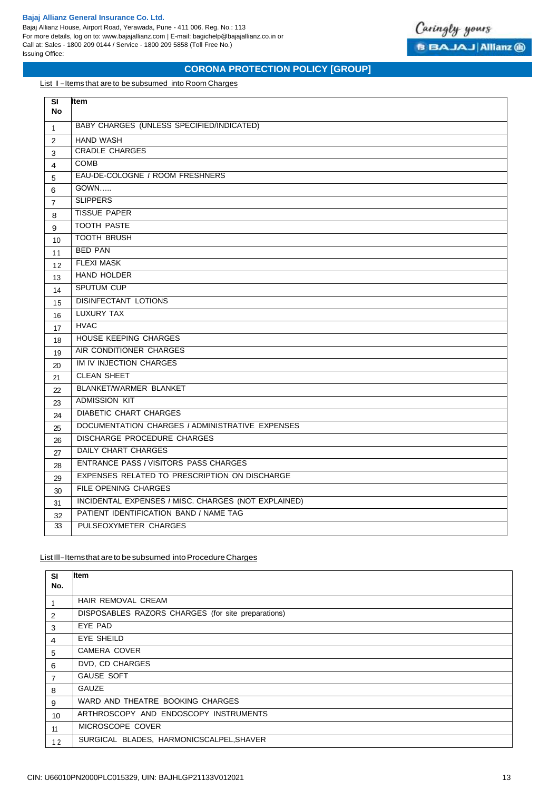Bajaj Allianz House, Airport Road, Yerawada, Pune - 411 006. Reg. No.: 113 For more details, log on to: www.bajajallianz.com | E-mail: bagichelp@bajajallianz.co.in or Call at: Sales - 1800 209 0144 / Service - 1800 209 5858 (Toll Free No.) Issuing Office:



# **CORONA PROTECTION POLICY [GROUP]**

List II-Items that are to be subsumed into Room Charges

| SI<br><b>No</b> | Item                                                |
|-----------------|-----------------------------------------------------|
|                 | BABY CHARGES (UNLESS SPECIFIED/INDICATED)           |
| $\mathbf{1}$    |                                                     |
| 2               | <b>HAND WASH</b><br><b>CRADLE CHARGES</b>           |
| 3               | <b>COMB</b>                                         |
| 4               |                                                     |
| 5               | EAU-DE-COLOGNE / ROOM FRESHNERS                     |
| 6               | GOWN                                                |
| $\overline{7}$  | <b>SLIPPERS</b>                                     |
| 8               | <b>TISSUE PAPER</b>                                 |
| 9               | <b>TOOTH PASTE</b>                                  |
| 10              | <b>TOOTH BRUSH</b>                                  |
| 11              | <b>BED PAN</b>                                      |
| 12              | <b>FLEXI MASK</b>                                   |
| 13              | <b>HAND HOLDER</b>                                  |
| 14              | <b>SPUTUM CUP</b>                                   |
| 15              | <b>DISINFECTANT LOTIONS</b>                         |
| 16              | <b>LUXURY TAX</b>                                   |
| 17              | <b>HVAC</b>                                         |
| 18              | <b>HOUSE KEEPING CHARGES</b>                        |
| 19              | AIR CONDITIONER CHARGES                             |
| 20              | IM IV INJECTION CHARGES                             |
| 21              | <b>CLEAN SHEET</b>                                  |
| 22              | BLANKET/WARMER BLANKET                              |
| 23              | <b>ADMISSION KIT</b>                                |
| 24              | <b>DIABETIC CHART CHARGES</b>                       |
| 25              | DOCUMENTATION CHARGES / ADMINISTRATIVE EXPENSES     |
| 26              | <b>DISCHARGE PROCEDURE CHARGES</b>                  |
| 27              | <b>DAILY CHART CHARGES</b>                          |
| 28              | ENTRANCE PASS / VISITORS PASS CHARGES               |
| 29              | EXPENSES RELATED TO PRESCRIPTION ON DISCHARGE       |
| 30              | FILE OPENING CHARGES                                |
| 31              | INCIDENTAL EXPENSES / MISC. CHARGES (NOT EXPLAINED) |
| 32              | PATIENT IDENTIFICATION BAND / NAME TAG              |
| 33              | PULSEOXYMETER CHARGES                               |
|                 |                                                     |

## List III-Items that are to be subsumed into Procedure Charges

| <b>SI</b>      | <b>Item</b>                                        |
|----------------|----------------------------------------------------|
| No.            |                                                    |
|                | HAIR REMOVAL CREAM                                 |
| 2              | DISPOSABLES RAZORS CHARGES (for site preparations) |
| 3              | EYE PAD                                            |
| $\overline{4}$ | EYE SHEILD                                         |
| 5              | CAMERA COVER                                       |
| 6              | DVD, CD CHARGES                                    |
| $\overline{7}$ | <b>GAUSE SOFT</b>                                  |
| 8              | <b>GAUZE</b>                                       |
| 9              | WARD AND THEATRE BOOKING CHARGES                   |
| 10             | ARTHROSCOPY AND ENDOSCOPY INSTRUMENTS              |
| 11             | MICROSCOPE COVER                                   |
| 12             | SURGICAL BLADES, HARMONICSCALPEL, SHAVER           |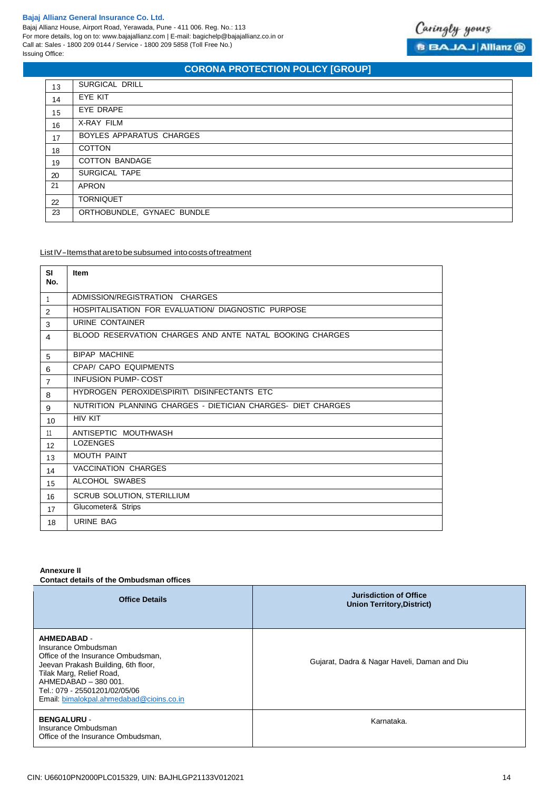Bajaj Allianz House, Airport Road, Yerawada, Pune - 411 006. Reg. No.: 113 For more details, log on to: www.bajajallianz.com | E-mail: bagichelp@bajajallianz.co.in or Call at: Sales - 1800 209 0144 / Service - 1800 209 5858 (Toll Free No.) Issuing Office:



# **CORONA PROTECTION POLICY [GROUP]**

| 13 | SURGICAL DRILL             |
|----|----------------------------|
| 14 | EYE KIT                    |
| 15 | EYE DRAPE                  |
| 16 | X-RAY FILM                 |
| 17 | BOYLES APPARATUS CHARGES   |
| 18 | <b>COTTON</b>              |
| 19 | <b>COTTON BANDAGE</b>      |
| 20 | SURGICAL TAPE              |
| 21 | <b>APRON</b>               |
| 22 | <b>TORNIQUET</b>           |
| 23 | ORTHOBUNDLE, GYNAEC BUNDLE |

## List IV-Items that are to be subsumed into costs of treatment

| <b>SI</b><br>No. | <b>Item</b>                                                  |
|------------------|--------------------------------------------------------------|
| $\mathbf{1}$     | ADMISSION/REGISTRATION CHARGES                               |
| $\overline{2}$   | HOSPITALISATION FOR EVALUATION/ DIAGNOSTIC PURPOSE           |
| 3                | URINE CONTAINER                                              |
| $\overline{4}$   | BLOOD RESERVATION CHARGES AND ANTE NATAL BOOKING CHARGES     |
| 5                | <b>BIPAP MACHINE</b>                                         |
| 6                | <b>CPAP/ CAPO EQUIPMENTS</b>                                 |
| $\overline{7}$   | <b>INFUSION PUMP-COST</b>                                    |
| 8                | HYDROGEN PEROXIDE\SPIRIT\ DISINFECTANTS ETC                  |
| 9                | NUTRITION PLANNING CHARGES - DIETICIAN CHARGES- DIET CHARGES |
| 10               | <b>HIV KIT</b>                                               |
| 11               | ANTISEPTIC MOUTHWASH                                         |
| 12               | <b>LOZENGES</b>                                              |
| 13               | MOUTH PAINT                                                  |
| 14               | <b>VACCINATION CHARGES</b>                                   |
| 15               | ALCOHOL SWABES                                               |
| 16               | SCRUB SOLUTION, STERILLIUM                                   |
| 17               | Glucometer& Strips                                           |
| 18               | <b>URINE BAG</b>                                             |

## **Annexure II**

**Contact details of the Ombudsman offices**

| <b>Office Details</b>                                                                                                                                                                                                                                   | <b>Jurisdiction of Office</b><br><b>Union Territory, District)</b> |
|---------------------------------------------------------------------------------------------------------------------------------------------------------------------------------------------------------------------------------------------------------|--------------------------------------------------------------------|
| <b>AHMEDABAD -</b><br>Insurance Ombudsman<br>Office of the Insurance Ombudsman,<br>Jeevan Prakash Building, 6th floor,<br>Tilak Marg, Relief Road,<br>AHMEDABAD - 380 001.<br>Tel.: 079 - 25501201/02/05/06<br>Email: bimalokpal.ahmedabad@cioins.co.in | Gujarat, Dadra & Nagar Haveli, Daman and Diu                       |
| <b>BENGALURU -</b><br>Insurance Ombudsman<br>Office of the Insurance Ombudsman.                                                                                                                                                                         | Karnataka.                                                         |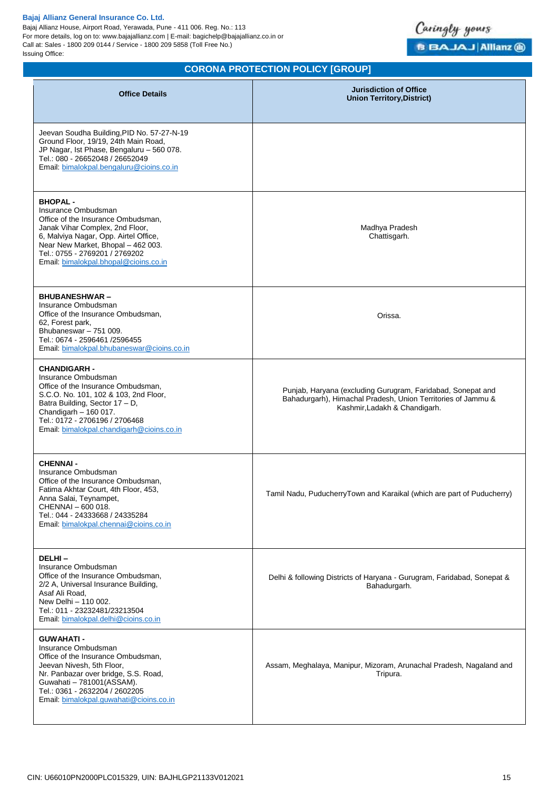Bajaj Allianz House, Airport Road, Yerawada, Pune - 411 006. Reg. No.: 113 For more details, log on to: www.bajajallianz.com | E-mail: bagichelp@bajajallianz.co.in or Call at: Sales - 1800 209 0144 / Service - 1800 209 5858 (Toll Free No.) Issuing Office:



| <b>Office Details</b>                                                                                                                                                                                                                                                    | <b>Jurisdiction of Office</b><br><b>Union Territory, District)</b>                                                                                           |
|--------------------------------------------------------------------------------------------------------------------------------------------------------------------------------------------------------------------------------------------------------------------------|--------------------------------------------------------------------------------------------------------------------------------------------------------------|
| Jeevan Soudha Building, PID No. 57-27-N-19<br>Ground Floor, 19/19, 24th Main Road,<br>JP Nagar, Ist Phase, Bengaluru - 560 078.<br>Tel.: 080 - 26652048 / 26652049<br>Email: bimalokpal.bengaluru@cioins.co.in                                                           |                                                                                                                                                              |
| <b>BHOPAL-</b><br>Insurance Ombudsman<br>Office of the Insurance Ombudsman,<br>Janak Vihar Complex, 2nd Floor,<br>6, Malviya Nagar, Opp. Airtel Office,<br>Near New Market, Bhopal - 462 003.<br>Tel.: 0755 - 2769201 / 2769202<br>Email: bimalokpal.bhopal@cioins.co.in | Madhya Pradesh<br>Chattisgarh.                                                                                                                               |
| <b>BHUBANESHWAR-</b><br>Insurance Ombudsman<br>Office of the Insurance Ombudsman,<br>62, Forest park,<br>Bhubaneswar - 751 009.<br>Tel.: 0674 - 2596461 /2596455<br>Email: bimalokpal.bhubaneswar@cioins.co.in                                                           | Orissa.                                                                                                                                                      |
| <b>CHANDIGARH -</b><br>Insurance Ombudsman<br>Office of the Insurance Ombudsman,<br>S.C.O. No. 101, 102 & 103, 2nd Floor,<br>Batra Building, Sector 17 - D,<br>Chandigarh $-160017$ .<br>Tel.: 0172 - 2706196 / 2706468<br>Email: bimalokpal.chandigarh@cioins.co.in     | Punjab, Haryana (excluding Gurugram, Faridabad, Sonepat and<br>Bahadurgarh), Himachal Pradesh, Union Territories of Jammu &<br>Kashmir, Ladakh & Chandigarh. |
| <b>CHENNAI -</b><br>Insurance Ombudsman<br>Office of the Insurance Ombudsman,<br>Fatima Akhtar Court, 4th Floor, 453,<br>Anna Salai, Teynampet,<br>CHENNAI - 600 018.<br>Tel.: 044 - 24333668 / 24335284<br>Email: bimalokpal.chennai@cioins.co.in                       | Tamil Nadu, PuducherryTown and Karaikal (which are part of Puducherry)                                                                                       |
| DELHI-<br>Insurance Ombudsman<br>Office of the Insurance Ombudsman,<br>2/2 A, Universal Insurance Building,<br>Asaf Ali Road,<br>New Delhi - 110 002.<br>Tel.: 011 - 23232481/23213504<br>Email: bimalokpal.delhi@cioins.co.in                                           | Delhi & following Districts of Haryana - Gurugram, Faridabad, Sonepat &<br>Bahadurgarh.                                                                      |
| <b>GUWAHATI-</b><br>Insurance Ombudsman<br>Office of the Insurance Ombudsman,<br>Jeevan Nivesh, 5th Floor,<br>Nr. Panbazar over bridge, S.S. Road,<br>Guwahati - 781001(ASSAM).<br>Tel.: 0361 - 2632204 / 2602205<br>Email: bimalokpal.guwahati@cioins.co.in             | Assam, Meghalaya, Manipur, Mizoram, Arunachal Pradesh, Nagaland and<br>Tripura.                                                                              |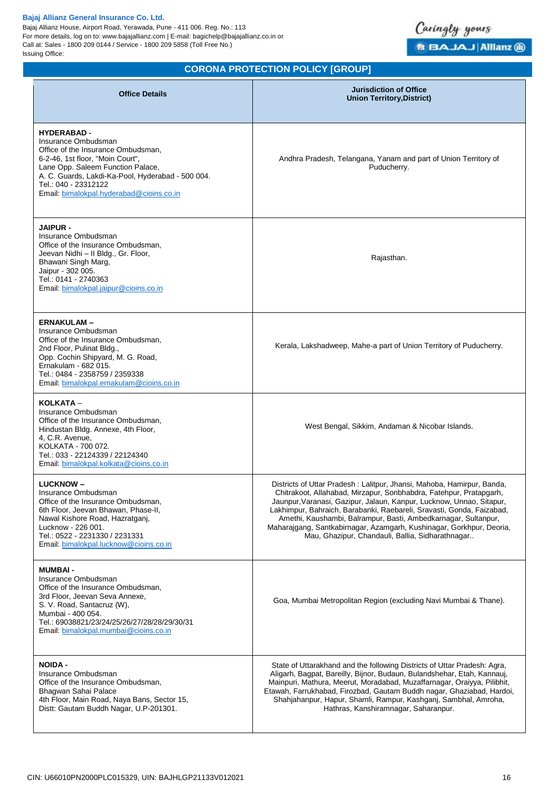Bajaj Allianz House, Airport Road, Yerawada, Pune - 411 006. Reg. No.: 113 For more details, log on to: www.bajajallianz.com | E-mail: bagichelp@bajajallianz.co.in or Call at: Sales - 1800 209 0144 / Service - 1800 209 5858 (Toll Free No.) Issuing Office:



| <b>Office Details</b>                                                                                                                                                                                                                                                             | <b>Jurisdiction of Office</b><br><b>Union Territory, District)</b>                                                                                                                                                                                                                                                                                                                                                                                                                          |
|-----------------------------------------------------------------------------------------------------------------------------------------------------------------------------------------------------------------------------------------------------------------------------------|---------------------------------------------------------------------------------------------------------------------------------------------------------------------------------------------------------------------------------------------------------------------------------------------------------------------------------------------------------------------------------------------------------------------------------------------------------------------------------------------|
| <b>HYDERABAD -</b><br>Insurance Ombudsman<br>Office of the Insurance Ombudsman,<br>6-2-46, 1st floor, "Moin Court",<br>Lane Opp. Saleem Function Palace,<br>A. C. Guards, Lakdi-Ka-Pool, Hyderabad - 500 004.<br>Tel.: 040 - 23312122<br>Email: bimalokpal.hyderabad@cioins.co.in | Andhra Pradesh, Telangana, Yanam and part of Union Territory of<br>Puducherry.                                                                                                                                                                                                                                                                                                                                                                                                              |
| <b>JAIPUR -</b><br>Insurance Ombudsman<br>Office of the Insurance Ombudsman,<br>Jeevan Nidhi - Il Bldg., Gr. Floor,<br>Bhawani Singh Marg,<br>Jaipur - 302 005.<br>Tel.: 0141 - 2740363<br>Email: bimalokpal.jaipur@cioins.co.in                                                  | Rajasthan.                                                                                                                                                                                                                                                                                                                                                                                                                                                                                  |
| <b>ERNAKULAM –</b><br>Insurance Ombudsman<br>Office of the Insurance Ombudsman,<br>2nd Floor, Pulinat Bldg.,<br>Opp. Cochin Shipyard, M. G. Road,<br>Ernakulam - 682 015.<br>Tel.: 0484 - 2358759 / 2359338<br>Email: bimalokpal.ernakulam@cioins.co.in                           | Kerala, Lakshadweep, Mahe-a part of Union Territory of Puducherry.                                                                                                                                                                                                                                                                                                                                                                                                                          |
| KOLKATA -<br>Insurance Ombudsman<br>Office of the Insurance Ombudsman,<br>Hindustan Bldg. Annexe, 4th Floor,<br>4, C.R. Avenue,<br>KOLKATA - 700 072.<br>Tel.: 033 - 22124339 / 22124340<br>Email: bimalokpal.kolkata@cioins.co.in                                                | West Bengal, Sikkim, Andaman & Nicobar Islands.                                                                                                                                                                                                                                                                                                                                                                                                                                             |
| <b>LUCKNOW-</b><br>Insurance Ombudsman<br>Office of the Insurance Ombudsman,<br>6th Floor, Jeevan Bhawan, Phase-II,<br>Nawal Kishore Road, Hazratganj,<br>Lucknow - 226 001.<br>Tel.: 0522 - 2231330 / 2231331<br>Email: bimalokpal.lucknow@cioins.co.in                          | Districts of Uttar Pradesh: Lalitpur, Jhansi, Mahoba, Hamirpur, Banda,<br>Chitrakoot, Allahabad, Mirzapur, Sonbhabdra, Fatehpur, Pratapgarh,<br>Jaunpur, Varanasi, Gazipur, Jalaun, Kanpur, Lucknow, Unnao, Sitapur,<br>Lakhimpur, Bahraich, Barabanki, Raebareli, Sravasti, Gonda, Faizabad,<br>Amethi, Kaushambi, Balrampur, Basti, Ambedkarnagar, Sultanpur,<br>Maharajgang, Santkabirnagar, Azamgarh, Kushinagar, Gorkhpur, Deoria,<br>Mau, Ghazipur, Chandauli, Ballia, Sidharathnagar |
| <b>MUMBAI -</b><br>Insurance Ombudsman<br>Office of the Insurance Ombudsman,<br>3rd Floor, Jeevan Seva Annexe,<br>S. V. Road, Santacruz (W),<br>Mumbai - 400 054.<br>Tel.: 69038821/23/24/25/26/27/28/28/29/30/31<br>Email: bimalokpal.mumbai@cioins.co.in                        | Goa, Mumbai Metropolitan Region (excluding Navi Mumbai & Thane).                                                                                                                                                                                                                                                                                                                                                                                                                            |
| <b>NOIDA -</b><br>Insurance Ombudsman<br>Office of the Insurance Ombudsman,<br>Bhagwan Sahai Palace<br>4th Floor, Main Road, Naya Bans, Sector 15,<br>Distt: Gautam Buddh Nagar, U.P-201301.                                                                                      | State of Uttarakhand and the following Districts of Uttar Pradesh: Agra,<br>Aligarh, Bagpat, Bareilly, Bijnor, Budaun, Bulandshehar, Etah, Kannauj,<br>Mainpuri, Mathura, Meerut, Moradabad, Muzaffarnagar, Oraiyya, Pilibhit,<br>Etawah, Farrukhabad, Firozbad, Gautam Buddh nagar, Ghaziabad, Hardoi,<br>Shahjahanpur, Hapur, Shamli, Rampur, Kashganj, Sambhal, Amroha,<br>Hathras, Kanshiramnagar, Saharanpur.                                                                          |